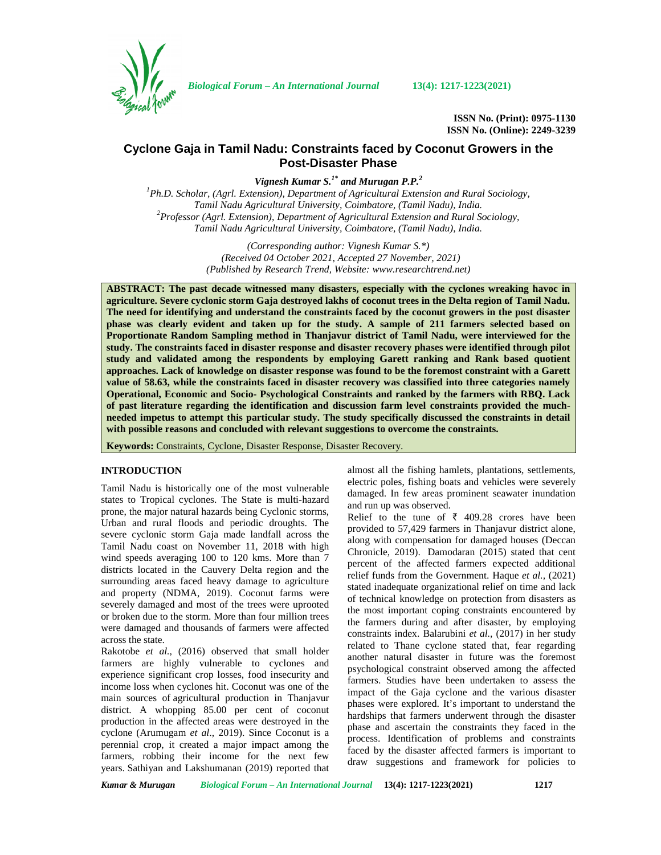

*Biological Forum – An International Journal* **13(4): 1217-1223(2021)**

**ISSN No. (Print): 0975-1130 ISSN No. (Online): 2249-3239**

# **Cyclone Gaja in Tamil Nadu: Constraints faced by Coconut Growers in the Post-Disaster Phase**

*Vignesh Kumar S.1\* and Murugan P.P.<sup>2</sup>*

*<sup>1</sup>Ph.D. Scholar, (Agrl. Extension), Department of Agricultural Extension and Rural Sociology, Tamil Nadu Agricultural University, Coimbatore, (Tamil Nadu), India. <sup>2</sup>Professor (Agrl. Extension), Department of Agricultural Extension and Rural Sociology, Tamil Nadu Agricultural University, Coimbatore, (Tamil Nadu), India.*

> *(Corresponding author: Vignesh Kumar S.\*) (Received 04 October 2021, Accepted 27 November, 2021) (Published by Research Trend, Website: [www.researchtrend.net\)](www.researchtrend.net)*

**ABSTRACT: The past decade witnessed many disasters, especially with the cyclones wreaking havoc in agriculture. Severe cyclonic storm Gaja destroyed lakhs of coconut trees in the Delta region of Tamil Nadu. The need for identifying and understand the constraints faced by the coconut growers in the post disaster phase was clearly evident and taken up for the study. A sample of 211 farmers selected based on Proportionate Random Sampling method in Thanjavur district of Tamil Nadu, were interviewed for the study. The constraints faced in disaster response and disaster recovery phases were identified through pilot study and validated among the respondents by employing Garett ranking and Rank based quotient approaches. Lack of knowledge on disaster response was found to be the foremost constraint with a Garett value of 58.63, while the constraints faced in disaster recovery was classified into three categories namely Operational, Economic and Socio- Psychological Constraints and ranked by the farmers with RBQ. Lack of past literature regarding the identification and discussion farm level constraints provided the much needed impetus to attempt this particular study. The study specifically discussed the constraints in detail with possible reasons and concluded with relevant suggestions to overcome the constraints.**

**Keywords:** Constraints, Cyclone, Disaster Response, Disaster Recovery.

## **INTRODUCTION**

Tamil Nadu is historically one of the most vulnerable states to Tropical cyclones. The State is multi-hazard prone, the major natural hazards being Cyclonic storms, Urban and rural floods and periodic droughts. The severe cyclonic storm Gaja made landfall across the Tamil Nadu coast on November 11, 2018 with high wind speeds averaging 100 to 120 kms. More than 7 districts located in the Cauvery Delta region and the surrounding areas faced heavy damage to agriculture and property (NDMA, 2019). Coconut farms were severely damaged and most of the trees were uprooted or broken due to the storm. More than four million trees were damaged and thousands of farmers were affected across the state.

Rakotobe *et al.,* (2016) observed that small holder farmers are highly vulnerable to cyclones and experience significant crop losses, food insecurity and income loss when cyclones hit. Coconut was one of the main sources of agricultural production in Thanjavur district. A whopping 85.00 per cent of coconut production in the affected areas were destroyed in the cyclone (Arumugam *et al*., 2019). Since Coconut is a perennial crop, it created a major impact among the farmers, robbing their income for the next few years. Sathiyan and Lakshumanan (2019) reported that almost all the fishing hamlets, plantations, settlements, electric poles, fishing boats and vehicles were severely damaged. In few areas prominent seawater inundation and run up was observed.

Relief to the tune of  $\bar{\tau}$  409.28 crores have been provided to 57,429 farmers in Thanjavur district alone, along with compensation for damaged houses (Deccan Chronicle, 2019). Damodaran (2015) stated that cent percent of the affected farmers expected additional relief funds from the Government. Haque *et al.,* (2021) stated inadequate organizational relief on time and lack of technical knowledge on protection from disasters as the most important coping constraints encountered by the farmers during and after disaster, by employing constraints index. Balarubini *et al.,* (2017) in her study related to Thane cyclone stated that, fear regarding another natural disaster in future was the foremost psychological constraint observed among the affected farmers. Studies have been undertaken to assess the impact of the Gaja cyclone and the various disaster phases were explored. It's important to understand the hardships that farmers underwent through the disaster phase and ascertain the constraints they faced in the process. Identification of problems and constraints faced by the disaster affected farmers is important to draw suggestions and framework for policies to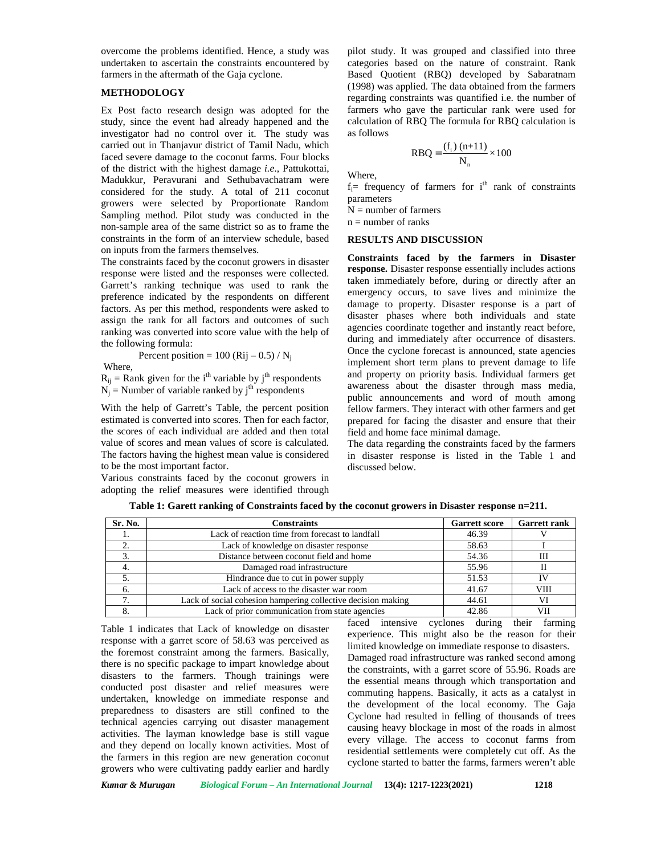overcome the problems identified. Hence, a study was undertaken to ascertain the constraints encountered by farmers in the aftermath of the Gaja cyclone.

## **METHODOLOGY**

Ex Post facto research design was adopted for the study, since the event had already happened and the investigator had no control over it. The study was carried out in Thanjavur district of Tamil Nadu, which faced severe damage to the coconut farms. Four blocks of the district with the highest damage *i.e*., Pattukottai, Madukkur, Peravurani and Sethubavachatram were considered for the study. A total of 211 coconut growers were selected by Proportionate Random Sampling method. Pilot study was conducted in the non-sample area of the same district so as to frame the constraints in the form of an interview schedule, based on inputs from the farmers themselves.

The constraints faced by the coconut growers in disaster response were listed and the responses were collected. Garrett's ranking technique was used to rank the preference indicated by the respondents on different factors. As per this method, respondents were asked to assign the rank for all factors and outcomes of such ranking was converted into score value with the help of the following formula:

Where,

 $R_{ij}$  = Rank given for the i<sup>th</sup> variable by j<sup>th</sup> respondents  $N_i$  = Number of variable ranked by j<sup>th</sup> respondents

Percent position =  $100$  (Rij – 0.5) / N<sub>i</sub>

With the help of Garrett's Table, the percent position estimated is converted into scores. Then for each factor, the scores of each individual are added and then total value of scores and mean values of score is calculated. The factors having the highest mean value is considered to be the most important factor.

Various constraints faced by the coconut growers in adopting the relief measures were identified through

pilot study. It was grouped and classified into three categories based on the nature of constraint. Rank Based Quotient (RBQ) developed by Sabaratnam (1998) was applied. The data obtained from the farmers regarding constraints was quantified i.e. the number of farmers who gave the particular rank were used for calculation of RBQ The formula for RBQ calculation is as follows was grouped and classified into three<br>d on the nature of constraint. Rank<br>it (RBQ) developed by Sabaratnam<br>lied. The data obtained from the farmers<br>raints was quantified i.e. the number of<br>ave the particular rank were use

$$
R B Q = \frac{(f_i) (n+11)}{N_n} \times 100
$$

Where,

 $f_i$ = frequency of farmers for i<sup>th</sup> rank of constraints parameters

 $N =$  number of farmers

 $n =$  number of ranks

### **RESULTS AND DISCUSSION**

**Constraints faced by the farmers in Disaster response.** Disaster response essentially includes actions taken immediately before, during or directly after an emergency occurs, to save lives and minimize the damage to property. Disaster response is a part of disaster phases where both individuals and state agencies coordinate together and instantly react before, during and immediately after occurrence of disasters. Once the cyclone forecast is announced, state agencies implement short term plans to prevent damage to life and property on priority basis. Individual farmers get awareness about the disaster through mass media, public announcements and word of mouth among fellow farmers. They interact with other farmers and get prepared for facing the disaster and ensure that their field and home face minimal damage.

The data regarding the constraints faced by the farmers in disaster response is listed in the Table 1 and discussed below.

|  |  | Table 1: Garett ranking of Constraints faced by the coconut growers in Disaster response n=211. |
|--|--|-------------------------------------------------------------------------------------------------|
|  |  |                                                                                                 |

| Sr. No. | Constraints                                                  | <b>Garrett score</b> | <b>Garrett rank</b> |
|---------|--------------------------------------------------------------|----------------------|---------------------|
|         | Lack of reaction time from forecast to landfall              | 46.39                |                     |
|         | Lack of knowledge on disaster response                       | 58.63                |                     |
|         | Distance between coconut field and home                      | 54.36                | Ш                   |
|         | Damaged road infrastructure                                  | 55.96                |                     |
|         | Hindrance due to cut in power supply                         | 51.53                |                     |
|         | Lack of access to the disaster war room                      | 41.67                | VIII                |
|         | Lack of social cohesion hampering collective decision making | 44.61                |                     |
|         | Lack of prior communication from state agencies              | 42.86                | VII                 |

Table 1 indicates that Lack of knowledge on disaster response with a garret score of 58.63 was perceived as the foremost constraint among the farmers. Basically, there is no specific package to impart knowledge about disasters to the farmers. Though trainings were conducted post disaster and relief measures were undertaken, knowledge on immediate response and preparedness to disasters are still confined to the technical agencies carrying out disaster management activities. The layman knowledge base is still vague and they depend on locally known activities. Most of the farmers in this region are new generation coconut growers who were cultivating paddy earlier and hardly faced intensive cyclones during their farming experience. This might also be the reason for their limited knowledge on immediate response to disasters. Damaged road infrastructure was ranked second among the constraints, with a garret score of 55.96. Roads are the essential means through which transportation and commuting happens. Basically, it acts as a catalyst in the development of the local economy. The Gaja Cyclone had resulted in felling of thousands of trees causing heavy blockage in most of the roads in almost every village. The access to coconut farms from residential settlements were completely cut off. As the cyclone started to batter the farms, farmers weren't able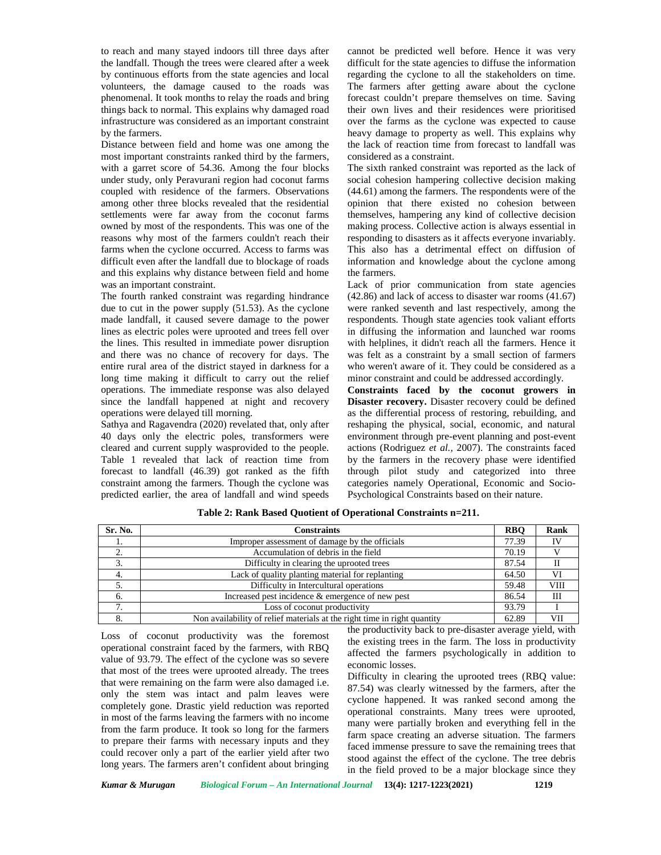to reach and many stayed indoors till three days after the landfall. Though the trees were cleared after a week by continuous efforts from the state agencies and local volunteers, the damage caused to the roads was phenomenal. It took months to relay the roads and bring things back to normal. This explains why damaged road infrastructure was considered as an important constraint by the farmers.

Distance between field and home was one among the most important constraints ranked third by the farmers, with a garret score of 54.36. Among the four blocks under study, only Peravurani region had coconut farms coupled with residence of the farmers. Observations among other three blocks revealed that the residential settlements were far away from the coconut farms owned by most of the respondents. This was one of the reasons why most of the farmers couldn't reach their farms when the cyclone occurred. Access to farms was difficult even after the landfall due to blockage of roads and this explains why distance between field and home was an important constraint.

The fourth ranked constraint was regarding hindrance due to cut in the power supply (51.53). As the cyclone made landfall, it caused severe damage to the power lines as electric poles were uprooted and trees fell over the lines. This resulted in immediate power disruption and there was no chance of recovery for days. The entire rural area of the district stayed in darkness for a long time making it difficult to carry out the relief operations. The immediate response was also delayed since the landfall happened at night and recovery operations were delayed till morning.

Sathya and Ragavendra (2020) revelated that, only after 40 days only the electric poles, transformers were cleared and current supply wasprovided to the people. Table 1 revealed that lack of reaction time from forecast to landfall (46.39) got ranked as the fifth constraint among the farmers. Though the cyclone was predicted earlier, the area of landfall and wind speeds cannot be predicted well before. Hence it was very difficult for the state agencies to diffuse the information regarding the cyclone to all the stakeholders on time. The farmers after getting aware about the cyclone forecast couldn't prepare themselves on time. Saving their own lives and their residences were prioritised over the farms as the cyclone was expected to cause heavy damage to property as well. This explains why the lack of reaction time from forecast to landfall was considered as a constraint.

The sixth ranked constraint was reported as the lack of social cohesion hampering collective decision making (44.61) among the farmers. The respondents were of the opinion that there existed no cohesion between themselves, hampering any kind of collective decision making process. Collective action is always essential in responding to disasters as it affects everyone invariably. This also has a detrimental effect on diffusion of information and knowledge about the cyclone among the farmers.

Lack of prior communication from state agencies (42.86) and lack of access to disaster war rooms (41.67) were ranked seventh and last respectively, among the respondents. Though state agencies took valiant efforts in diffusing the information and launched war rooms with helplines, it didn't reach all the farmers. Hence it was felt as a constraint by a small section of farmers who weren't aware of it. They could be considered as a minor constraint and could be addressed accordingly.

**Constraints faced by the coconut growers in Disaster recovery.** Disaster recovery could be defined as the differential process of restoring, rebuilding, and reshaping the physical, social, economic, and natural environment through pre-event planning and post-event actions (Rodriguez *et al.,* 2007). The constraints faced by the farmers in the recovery phase were identified through pilot study and categorized into three categories namely Operational, Economic and Socio- Psychological Constraints based on their nature.

| Sr. No.   | Constraints                                                              | <b>RBO</b> | Rank        |
|-----------|--------------------------------------------------------------------------|------------|-------------|
| -1.       | Improper assessment of damage by the officials                           | 77.39      | TV          |
| <b>4.</b> | Accumulation of debris in the field                                      | 70.19      |             |
| 3.        | Difficulty in clearing the uprooted trees                                | 87.54      |             |
| 4.        | Lack of quality planting material for replanting                         | 64.50      | VI          |
| 5.        | Difficulty in Intercultural operations                                   | 59.48      | <b>VIII</b> |
| 6.        | Increased pest incidence & emergence of new pest                         | 86.54      | Ш           |
| . .       | Loss of coconut productivity                                             | 93.79      |             |
| 8.        | Non availability of relief materials at the right time in right quantity | 62.89      | VII         |

**Table 2: Rank Based Quotient of Operational Constraints n=211.**

Loss of coconut productivity was the foremost operational constraint faced by the farmers, with RBQ value of 93.79. The effect of the cyclone was so severe that most of the trees were uprooted already. The trees that were remaining on the farm were also damaged i.e. only the stem was intact and palm leaves were completely gone. Drastic yield reduction was reported in most of the farms leaving the farmers with no income from the farm produce. It took so long for the farmers to prepare their farms with necessary inputs and they could recover only a part of the earlier yield after two long years. The farmers aren't confident about bringing the productivity back to pre-disaster average yield, with the existing trees in the farm. The loss in productivity affected the farmers psychologically in addition to economic losses.

Difficulty in clearing the uprooted trees (RBQ value: 87.54) was clearly witnessed by the farmers, after the cyclone happened. It was ranked second among the operational constraints. Many trees were uprooted, many were partially broken and everything fell in the farm space creating an adverse situation. The farmers faced immense pressure to save the remaining trees that stood against the effect of the cyclone. The tree debris in the field proved to be a major blockage since they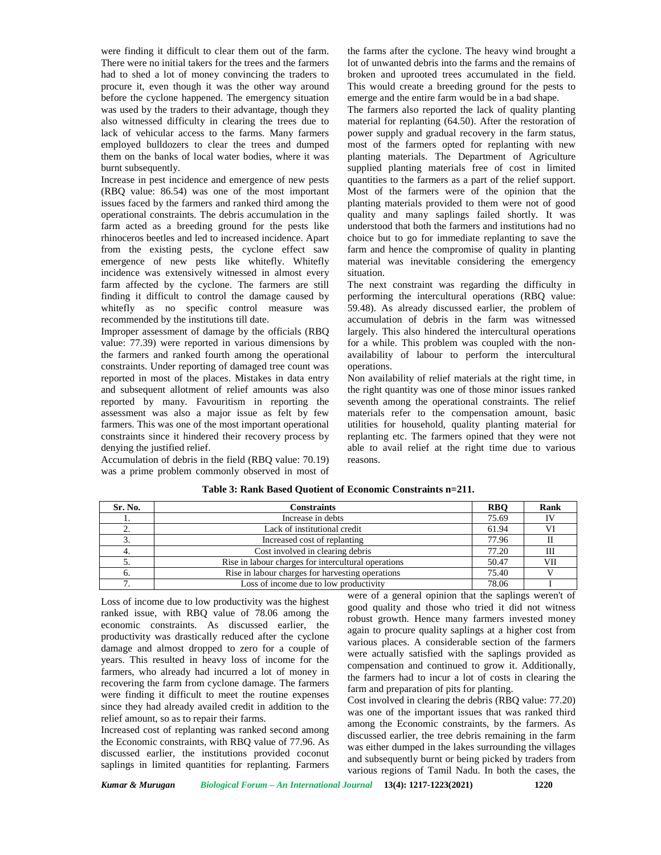were finding it difficult to clear them out of the farm. There were no initial takers for the trees and the farmers had to shed a lot of money convincing the traders to procure it, even though it was the other way around before the cyclone happened. The emergency situation was used by the traders to their advantage, though they also witnessed difficulty in clearing the trees due to lack of vehicular access to the farms. Many farmers employed bulldozers to clear the trees and dumped them on the banks of local water bodies, where it was burnt subsequently.

Increase in pest incidence and emergence of new pests (RBQ value: 86.54) was one of the most important issues faced by the farmers and ranked third among the operational constraints. The debris accumulation in the farm acted as a breeding ground for the pests like rhinoceros beetles and led to increased incidence. Apart from the existing pests, the cyclone effect saw emergence of new pests like whitefly. Whitefly incidence was extensively witnessed in almost every farm affected by the cyclone. The farmers are still finding it difficult to control the damage caused by whitefly as no specific control measure was recommended by the institutions till date.

Improper assessment of damage by the officials (RBQ value: 77.39) were reported in various dimensions by the farmers and ranked fourth among the operational constraints. Under reporting of damaged tree count was reported in most of the places. Mistakes in data entry and subsequent allotment of relief amounts was also reported by many. Favouritism in reporting the assessment was also a major issue as felt by few farmers. This was one of the most important operational constraints since it hindered their recovery process by denying the justified relief.

Accumulation of debris in the field (RBQ value: 70.19) was a prime problem commonly observed in most of

the farms after the cyclone. The heavy wind brought a lot of unwanted debris into the farms and the remains of broken and uprooted trees accumulated in the field. This would create a breeding ground for the pests to emerge and the entire farm would be in a bad shape.

The farmers also reported the lack of quality planting material for replanting (64.50). After the restoration of power supply and gradual recovery in the farm status, most of the farmers opted for replanting with new planting materials. The Department of Agriculture supplied planting materials free of cost in limited quantities to the farmers as a part of the relief support. Most of the farmers were of the opinion that the planting materials provided to them were not of good quality and many saplings failed shortly. It was understood that both the farmers and institutions had no choice but to go for immediate replanting to save the farm and hence the compromise of quality in planting material was inevitable considering the emergency situation.

The next constraint was regarding the difficulty in performing the intercultural operations (RBQ value: 59.48). As already discussed earlier, the problem of accumulation of debris in the farm was witnessed largely. This also hindered the intercultural operations for a while. This problem was coupled with the non availability of labour to perform the intercultural operations.

Non availability of relief materials at the right time, in the right quantity was one of those minor issues ranked seventh among the operational constraints. The relief materials refer to the compensation amount, basic utilities for household, quality planting material for replanting etc. The farmers opined that they were not able to avail relief at the right time due to various reasons.

| Sr. No.  | <b>Constraints</b>                                  | <b>RBO</b> | Rank |
|----------|-----------------------------------------------------|------------|------|
|          | Increase in debts                                   | 75.69      |      |
| <u>.</u> | Lack of institutional credit                        | 61.94      |      |
|          | Increased cost of replanting                        | 77.96      |      |
|          | Cost involved in clearing debris                    | 77.20      | Ш    |
| J.       | Rise in labour charges for intercultural operations | 50.47      | VII  |
|          | Rise in labour charges for harvesting operations    | 75.40      |      |
|          | Loss of income due to low productivity              | 78.06      |      |

#### **Table 3: Rank Based Quotient of Economic Constraints n=211.**

Loss of income due to low productivity was the highest ranked issue, with RBQ value of 78.06 among the economic constraints. As discussed earlier, the productivity was drastically reduced after the cyclone damage and almost dropped to zero for a couple of years. This resulted in heavy loss of income for the farmers, who already had incurred a lot of money in recovering the farm from cyclone damage. The farmers were finding it difficult to meet the routine expenses since they had already availed credit in addition to the relief amount, so as to repair their farms.

Increased cost of replanting was ranked second among the Economic constraints, with RBQ value of 77.96. As discussed earlier, the institutions provided coconut saplings in limited quantities for replanting. Farmers

were of a general opinion that the saplings weren't of good quality and those who tried it did not witness robust growth. Hence many farmers invested money again to procure quality saplings at a higher cost from various places. A considerable section of the farmers were actually satisfied with the saplings provided as compensation and continued to grow it. Additionally, the farmers had to incur a lot of costs in clearing the farm and preparation of pits for planting.

Cost involved in clearing the debris (RBQ value: 77.20) was one of the important issues that was ranked third among the Economic constraints, by the farmers. As discussed earlier, the tree debris remaining in the farm was either dumped in the lakes surrounding the villages and subsequently burnt or being picked by traders from various regions of Tamil Nadu. In both the cases, the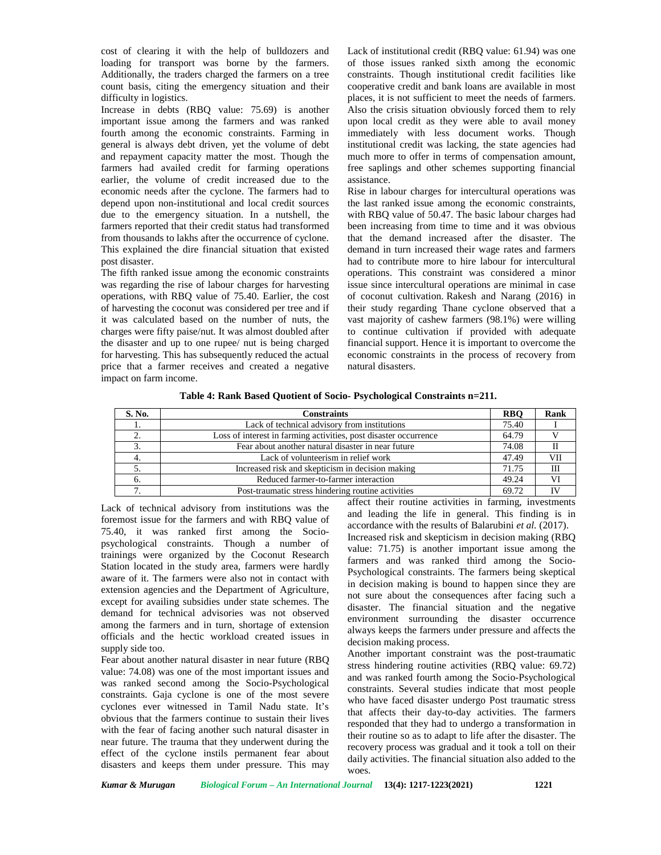cost of clearing it with the help of bulldozers and loading for transport was borne by the farmers. Additionally, the traders charged the farmers on a tree count basis, citing the emergency situation and their difficulty in logistics.

Increase in debts (RBQ value: 75.69) is another important issue among the farmers and was ranked fourth among the economic constraints. Farming in general is always debt driven, yet the volume of debt and repayment capacity matter the most. Though the farmers had availed credit for farming operations earlier, the volume of credit increased due to the economic needs after the cyclone. The farmers had to depend upon non-institutional and local credit sources due to the emergency situation. In a nutshell, the farmers reported that their credit status had transformed from thousands to lakhs after the occurrence of cyclone. This explained the dire financial situation that existed post disaster.

The fifth ranked issue among the economic constraints was regarding the rise of labour charges for harvesting operations, with RBQ value of 75.40. Earlier, the cost of harvesting the coconut was considered per tree and if it was calculated based on the number of nuts, the charges were fifty paise/nut. It was almost doubled after the disaster and up to one rupee/ nut is being charged for harvesting. This has subsequently reduced the actual price that a farmer receives and created a negative impact on farm income.

Lack of institutional credit (RBQ value: 61.94) was one of those issues ranked sixth among the economic constraints. Though institutional credit facilities like cooperative credit and bank loans are available in most places, it is not sufficient to meet the needs of farmers. Also the crisis situation obviously forced them to rely upon local credit as they were able to avail money immediately with less document works. Though institutional credit was lacking, the state agencies had much more to offer in terms of compensation amount, free saplings and other schemes supporting financial assistance.

Rise in labour charges for intercultural operations was the last ranked issue among the economic constraints, with RBQ value of 50.47. The basic labour charges had been increasing from time to time and it was obvious that the demand increased after the disaster. The demand in turn increased their wage rates and farmers had to contribute more to hire labour for intercultural operations. This constraint was considered a minor issue since intercultural operations are minimal in case of coconut cultivation. Rakesh and Narang (2016) in their study regarding Thane cyclone observed that a vast majority of cashew farmers (98.1%) were willing to continue cultivation if provided with adequate financial support. Hence it is important to overcome the economic constraints in the process of recovery from natural disasters.

|  |  |  | Table 4: Rank Based Quotient of Socio- Psychological Constraints n=211. |  |
|--|--|--|-------------------------------------------------------------------------|--|
|  |  |  |                                                                         |  |

| S. No. | Constraints                                                      | <b>RBO</b> | Rank |
|--------|------------------------------------------------------------------|------------|------|
|        | Lack of technical advisory from institutions                     | 75.40      |      |
|        | Loss of interest in farming activities, post disaster occurrence | 64.79      |      |
| J.     | Fear about another natural disaster in near future               | 74.08      |      |
|        | Lack of volunteerism in relief work                              | 47.49      | VII  |
|        | Increased risk and skepticism in decision making                 | 71.75      | Ш    |
|        | Reduced farmer-to-farmer interaction                             | 49.24      | VI   |
|        | Post-traumatic stress hindering routine activities               | 69.72      | IV   |

Lack of technical advisory from institutions was the foremost issue for the farmers and with RBQ value of 75.40, it was ranked first among the Socio psychological constraints. Though a number of trainings were organized by the Coconut Research Station located in the study area, farmers were hardly aware of it. The farmers were also not in contact with extension agencies and the Department of Agriculture, except for availing subsidies under state schemes. The demand for technical advisories was not observed among the farmers and in turn, shortage of extension officials and the hectic workload created issues in supply side too.

Fear about another natural disaster in near future (RBQ value: 74.08) was one of the most important issues and was ranked second among the Socio-Psychological constraints. Gaja cyclone is one of the most severe cyclones ever witnessed in Tamil Nadu state. It's obvious that the farmers continue to sustain their lives with the fear of facing another such natural disaster in near future. The trauma that they underwent during the effect of the cyclone instils permanent fear about disasters and keeps them under pressure. This may

affect their routine activities in farming, investments and leading the life in general. This finding is in accordance with the results of Balarubini *et al.* (2017). Increased risk and skepticism in decision making (RBQ value: 71.75) is another important issue among the farmers and was ranked third among the Socio- Psychological constraints. The farmers being skeptical in decision making is bound to happen since they are not sure about the consequences after facing such a disaster. The financial situation and the negative environment surrounding the disaster occurrence always keeps the farmers under pressure and affects the decision making process.

Another important constraint was the post-traumatic stress hindering routine activities (RBQ value: 69.72) and was ranked fourth among the Socio-Psychological constraints. Several studies indicate that most people who have faced disaster undergo Post traumatic stress that affects their day-to-day activities. The farmers responded that they had to undergo a transformation in their routine so as to adapt to life after the disaster. The recovery process was gradual and it took a toll on their daily activities. The financial situation also added to the woes.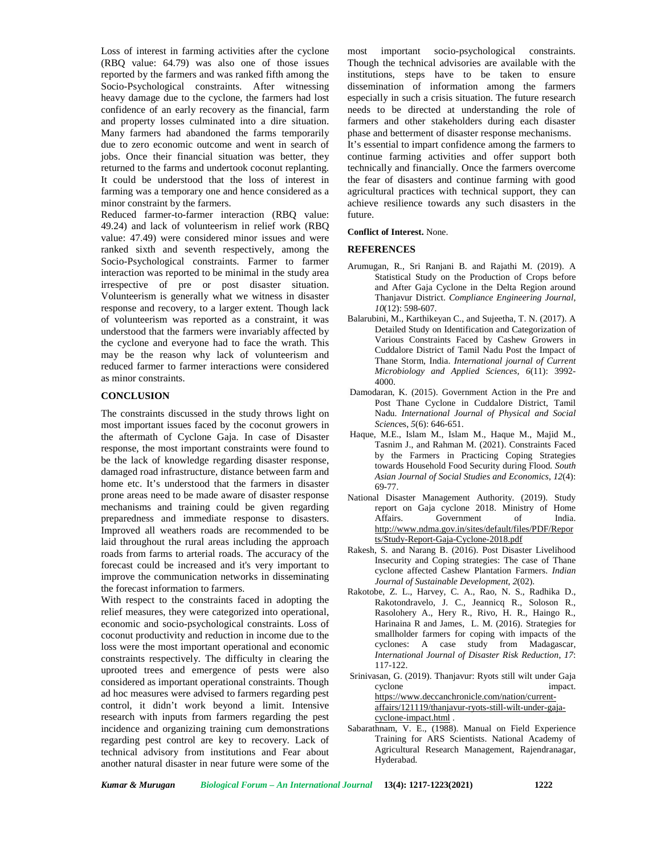Loss of interest in farming activities after the cyclone most (RBQ value: 64.79) was also one of those issues reported by the farmers and was ranked fifth among the Socio-Psychological constraints. After witnessing heavy damage due to the cyclone, the farmers had lost confidence of an early recovery as the financial, farm and property losses culminated into a dire situation. Many farmers had abandoned the farms temporarily due to zero economic outcome and went in search of jobs. Once their financial situation was better, they returned to the farms and undertook coconut replanting. It could be understood that the loss of interest in farming was a temporary one and hence considered as a minor constraint by the farmers.

Reduced farmer-to-farmer interaction (RBQ value: 49.24) and lack of volunteerism in relief work (RBQ value: 47.49) were considered minor issues and were ranked sixth and seventh respectively, among the Socio-Psychological constraints. Farmer to farmer interaction was reported to be minimal in the study area irrespective of pre or post disaster situation. Volunteerism is generally what we witness in disaster response and recovery, to a larger extent. Though lack of volunteerism was reported as a constraint, it was understood that the farmers were invariably affected by the cyclone and everyone had to face the wrath. This may be the reason why lack of volunteerism and reduced farmer to farmer interactions were considered as minor constraints.

## **CONCLUSION**

The constraints discussed in the study throws light on most important issues faced by the coconut growers in the aftermath of Cyclone Gaja. In case of Disaster response, the most important constraints were found to be the lack of knowledge regarding disaster response, damaged road infrastructure, distance between farm and home etc. It's understood that the farmers in disaster prone areas need to be made aware of disaster response mechanisms and training could be given regarding preparedness and immediate response to disasters. Improved all weathers roads are recommended to be laid throughout the rural areas including the approach roads from farms to arterial roads. The accuracy of the forecast could be increased and it's very important to improve the communication networks in disseminating the forecast information to farmers.

With respect to the constraints faced in adopting the relief measures, they were categorized into operational, economic and socio-psychological constraints. Loss of coconut productivity and reduction in income due to the loss were the most important operational and economic constraints respectively. The difficulty in clearing the uprooted trees and emergence of pests were also considered as important operational constraints. Though ad hoc measures were advised to farmers regarding pest control, it didn't work beyond a limit. Intensive research with inputs from farmers regarding the pest incidence and organizing training cum demonstrations regarding pest control are key to recovery. Lack of technical advisory from institutions and Fear about another natural disaster in near future were some of the

important socio-psychological constraints. Though the technical advisories are available with the institutions, steps have to be taken to ensure dissemination of information among the farmers especially in such a crisis situation. The future research needs to be directed at understanding the role of farmers and other stakeholders during each disaster phase and betterment of disaster response mechanisms.

It's essential to impart confidence among the farmers to continue farming activities and offer support both technically and financially. Once the farmers overcome the fear of disasters and continue farming with good agricultural practices with technical support, they can achieve resilience towards any such disasters in the future.

## **Conflict of Interest.** None.

## **REFERENCES**

- Arumugan, R., Sri Ranjani B. and Rajathi M. (2019). A Statistical Study on the Production of Crops before and After Gaja Cyclone in the Delta Region around Thanjavur District. *Compliance Engineering Journal*, *10*(12): 598-607.
- Balarubini, M., Karthikeyan C., and Sujeetha, T. N. (2017). A Detailed Study on Identification and Categorization of Various Constraints Faced by Cashew Growers in Cuddalore District of Tamil Nadu Post the Impact of Thane Storm, India. *International journal of Current Microbiology and Applied Sciences, 6*(11): 3992- 4000.
- Damodaran, K. (2015). Government Action in the Pre and Post Thane Cyclone in Cuddalore District, Tamil Nadu. *International Journal of Physical and Social Scienc*es, *5*(6): 646-651.
- Haque, M.E., Islam M., Islam M., Haque M., Majid M., Tasnim J., and Rahman M. (2021). Constraints Faced by the Farmers in Practicing Coping Strategies towards Household Food Security during Flood. *South Asian Journal of Social Studies and Economics*, *12*(4): 69-77.
- National Disaster Management Authority. (2019). Study report on Gaja cyclone 2018. Ministry of Home Affairs. Government of India. <http://www.ndma.gov.in/sites/default/files/PDF/Repor> ts/Study-Report-Gaja-Cyclone-2018.pdf
- Rakesh, S. and Narang B. (2016). Post Disaster Livelihood Insecurity and Coping strategies: The case of Thane cyclone affected Cashew Plantation Farmers. *Indian Journal of Sustainable Development, 2*(02).
- Rakotobe, Z. L., Harvey, C. A., Rao, N. S., Radhika D., Rakotondravelo, J. C., Jeannicq R., Soloson R., Rasolohery A., Hery R., Rivo, H. R., Haingo R., Harinaina R and James, L. M. (2016). Strategies for smallholder farmers for coping with impacts of the cyclones: A case study from Madagascar, *International Journal of Disaster Risk Reduction*, *17*: 117-122.
- Srinivasan, G. (2019). Thanjavur: Ryots still wilt under Gaja cyclone impact. https://[www.deccanchronicle.com/nation/current](www.deccanchronicle.com/nation/current-) affairs/121119/thanjavur-ryots-still-wilt-under-gaja cyclone-impact.html .
- Sabarathnam, V. E., (1988). Manual on Field Experience Training for ARS Scientists. National Academy of Agricultural Research Management, Rajendranagar, Hyderabad.